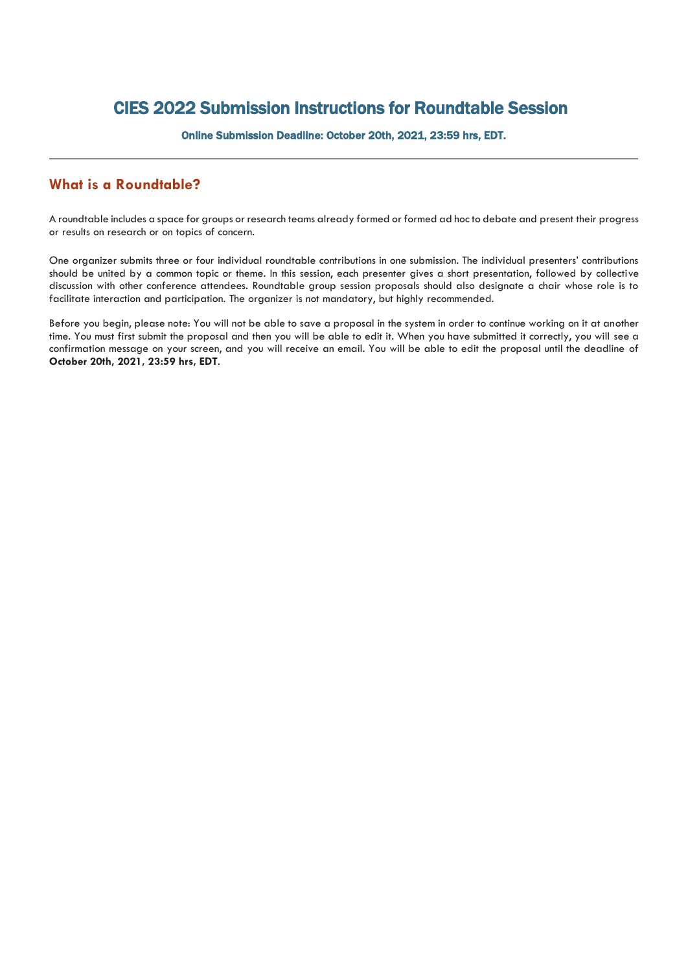## CIES 2022 Submission Instructions for Roundtable Session

Online Submission Deadline: October 20th, 2021, 23:59 hrs, EDT.

## **What is a Roundtable?**

A roundtable includes a space for groups or research teams already formed or formed ad hocto debate and present their progress or results on research or on topics of concern.

One organizer submits three or four individual roundtable contributions in one submission. The individual presenters' contributions should be united by a common topic or theme. In this session, each presenter gives a short presentation, followed by collective discussion with other conference attendees. Roundtable group session proposals should also designate a chair whose role is to facilitate interaction and participation. The organizer is not mandatory, but highly recommended.

Before you begin, please note: You will not be able to save a proposal in the system in order to continue working on it at another time. You must first submit the proposal and then you will be able to edit it. When you have submitted it correctly, you will see a confirmation message on your screen, and you will receive an email. You will be able to edit the proposal until the deadline of **October 20th, 2021, 23:59 hrs, EDT**.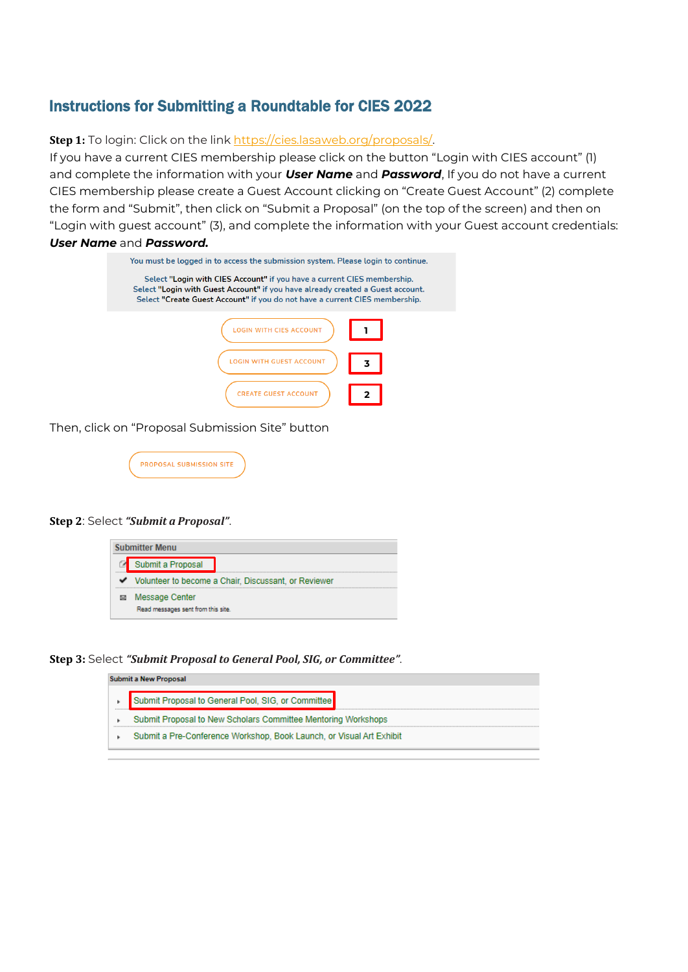## Instructions for Submitting a Roundtable for CIES 2022

**Step 1:** To login: Click on the link [https://cies.lasaweb.org/proposals/.](https://cies.lasaweb.org/proposals/)

If you have a current CIES membership please click on the button "Login with CIES account" (1) and complete the information with your *User Name* and *Password*, If you do not have a current CIES membership please create a Guest Account clicking on "Create Guest Account" (2) complete the form and "Submit", then click on "Submit a Proposal" (on the top of the screen) and then on "Login with guest account" (3), and complete the information with your Guest account credentials: *User Name* and *Password.*

| You must be logged in to access the submission system. Please login to continue.                                                                                                                                                         |
|------------------------------------------------------------------------------------------------------------------------------------------------------------------------------------------------------------------------------------------|
| Select "Login with CIES Account" if you have a current CIES membership.<br>Select "Login with Guest Account" if you have already created a Guest account.<br>Select "Create Guest Account" if you do not have a current CIES membership. |
| TH CIES ACCOUNT                                                                                                                                                                                                                          |
| WITH GUEST ACCOUNT<br>3                                                                                                                                                                                                                  |
| <b>CREATE GUEST ACCOUNT</b>                                                                                                                                                                                                              |

Then, click on "Proposal Submission Site" button

| <b>PROPOSAL SUBMISSION SITE</b> |  |
|---------------------------------|--|
|                                 |  |

## **Step 2**: Select *"Submit a Proposal"*.



**Step 3:** Select *"Submit Proposal to General Pool, SIG, or Committee"*.

|                   | Submit a New Proposal                                                |  |  |  |  |
|-------------------|----------------------------------------------------------------------|--|--|--|--|
| <b>**********</b> | Submit Proposal to General Pool, SIG, or Committee                   |  |  |  |  |
|                   | Submit Proposal to New Scholars Committee Mentoring Workshops        |  |  |  |  |
|                   | Submit a Pre-Conference Workshop, Book Launch, or Visual Art Exhibit |  |  |  |  |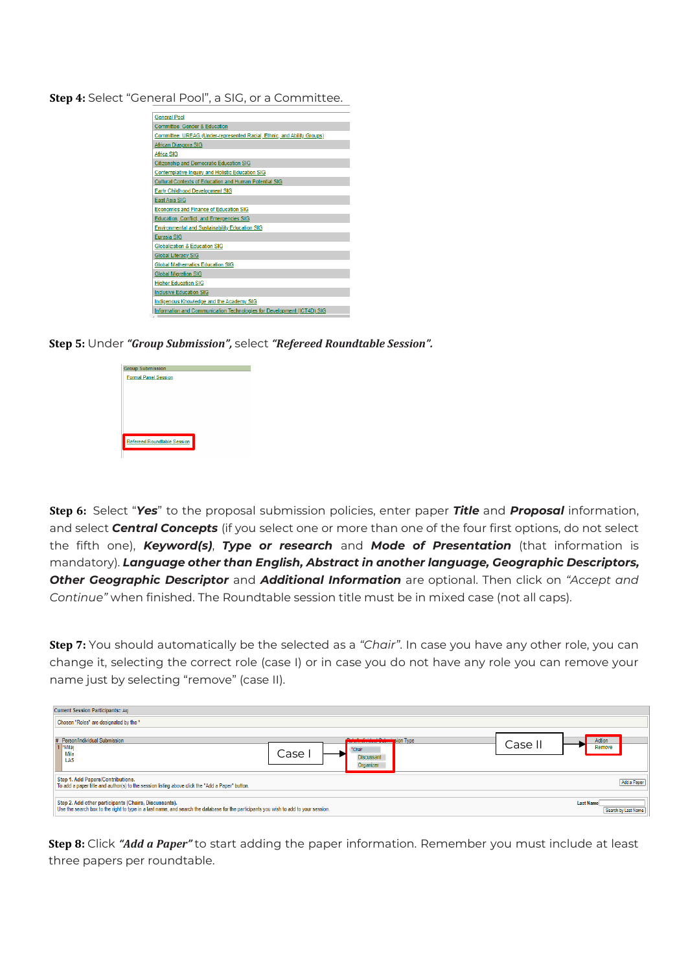**Step 4:** Select "General Pool", a SIG, or a Committee.

| <b>General Pool</b>                                                     |
|-------------------------------------------------------------------------|
| Committee: Gender & Education                                           |
| Committee: UREAG (Under-represented Racial, Ethnic, and Ability Groups) |
| African Diaspora SIG                                                    |
| Africa SIG                                                              |
| <b>Citizenship and Democratic Education SIG</b>                         |
| Contemplative Inquiry and Holistic Education SIG                        |
| Cultural Contexts of Education and Human Potential SIG                  |
| Early Childhood Development SIG                                         |
| <b>East Asia SIG</b>                                                    |
| <b>Economics and Finance of Education SIG</b>                           |
| Education, Conflict, and Emergencies SIG                                |
| <b>Environmental and Sustainability Education SIG</b>                   |
| <b>Eurasia SIG</b>                                                      |
| Globalization & Education SIG                                           |
| <b>Global Literacy SIG</b>                                              |
| <b>Global Mathematics Education SIG</b>                                 |
| <b>Global Migration SIG</b>                                             |
| <b>Higher Education SIG</b>                                             |
| <b>Inclusive Education SIG</b>                                          |
| Indigenous Knowledge and the Academy SIG                                |
| Information and Communication Technologies for Development (ICT4D) SIG  |

**Step 5:** Under *"Group Submission",* select *"Refereed Roundtable Session".*



**Step 6:** Select "*Yes*" to the proposal submission policies, enter paper *Title* and *Proposal* information, and select *Central Concepts* (if you select one or more than one of the four first options, do not select the fifth one), *Keyword(s)*, *Type or research* and *Mode of Presentation* (that information is mandatory). *Language other than English, Abstract in another language, Geographic Descriptors, Other Geographic Descriptor* and *Additional Information* are optional. Then click on *"Accept and Continue"* when finished. The Roundtable session title must be in mixed case (not all caps).

**Step 7:** You should automatically be the selected as a *"Chair"*. In case you have any other role, you can change it, selecting the correct role (case I) or in case you do not have any role you can remove your name just by selecting "remove" (case II).

| <b>Current Session Participants:: Akj</b>                                                                                                                                                      |                                                                                             |                                         |
|------------------------------------------------------------------------------------------------------------------------------------------------------------------------------------------------|---------------------------------------------------------------------------------------------|-----------------------------------------|
| Chosen "Roles" are designated by the *                                                                                                                                                         |                                                                                             |                                         |
| # Person/Individual Submission<br>Milar<br>Mila<br>LAS                                                                                                                                         | <b>Determinister Culturing</b> ion Type<br>*Chair<br>Case<br><b>Discussant</b><br>Organizer | Action<br>Casel<br>Remove               |
| Step 1. Add Papers/Contributions.<br>To add a paper title and author(s) to the session listing above click the "Add a Paper" button.                                                           |                                                                                             | Add a Paper                             |
| Step 2. Add other participants (Chairs, Discussants).<br>Use the search box to the right to type in a last name, and search the database for the participants you wish to add to your session. |                                                                                             | <b>Last Name</b><br>Search by Last Name |

**Step 8:** Click *"Add a Paper"* to start adding the paper information. Remember you must include at least three papers per roundtable.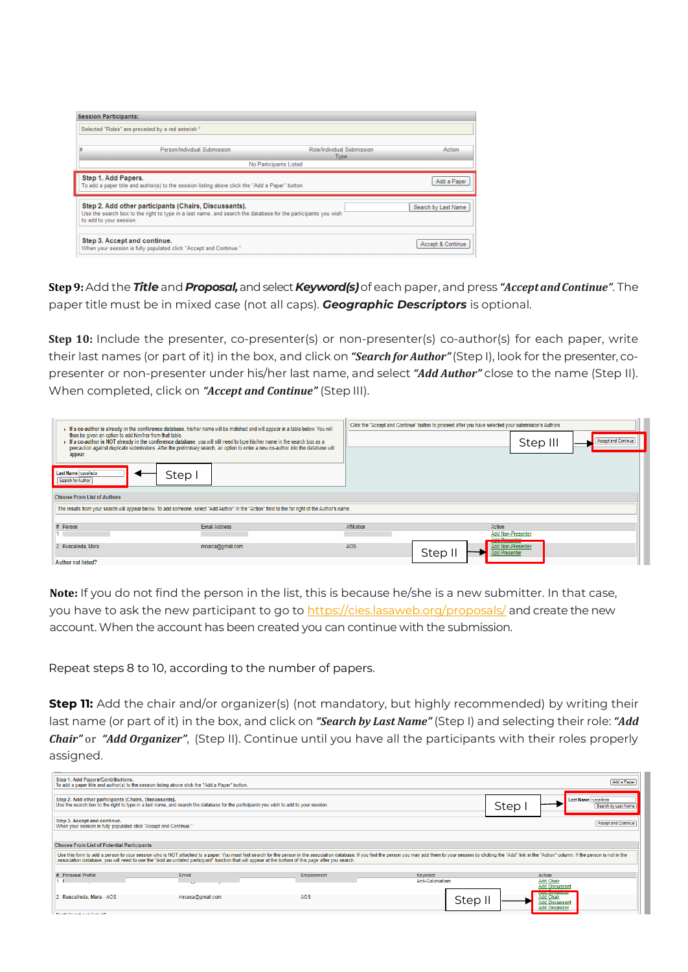| <b>Session Participants:</b>                                                                                                          |                                                                                                                                                                        |                                    |                     |  |
|---------------------------------------------------------------------------------------------------------------------------------------|------------------------------------------------------------------------------------------------------------------------------------------------------------------------|------------------------------------|---------------------|--|
|                                                                                                                                       | Selected "Roles" are preceded by a red asterisk *                                                                                                                      |                                    |                     |  |
| #                                                                                                                                     | Person/Individual Submission                                                                                                                                           | Role/Individual Submission<br>Type | Action              |  |
|                                                                                                                                       |                                                                                                                                                                        | No Participants Listed             |                     |  |
| Step 1. Add Papers.<br>Add a Paper<br>To add a paper title and author(s) to the session listing above click the "Add a Paper" button. |                                                                                                                                                                        |                                    |                     |  |
| to add to your session.                                                                                                               | Step 2. Add other participants (Chairs, Discussants).<br>Use the search box to the right to type in a last name, and search the database for the participants you wish |                                    | Search by Last Name |  |
|                                                                                                                                       | Step 3. Accept and continue.<br>When your session is fully populated click "Accept and Continue."                                                                      |                                    | Accept & Continue   |  |

**Step9:**Add the *Title* and *Proposal,*and select *Keyword(s)*of each paper, and press *"AcceptandContinue"*. The paper title must be in mixed case (not all caps). *Geographic Descriptors* is optional.

**Step 10:** Include the presenter, co-presenter(s) or non-presenter(s) co-author(s) for each paper, write their last names (or part of it) in the box, and click on *"Search for Author"*(Step I), look for the presenter, copresenter or non-presenter under his/her last name, and select *"Add Author"* close to the name (Step II). When completed, click on *"Accept and Continue"* (Step III).

| F a co-author is already in the conference database, his/her name will be matched and will appear in a table below. You will<br>then be given an option to add him/her from that table.<br>Fig. o-author is NOT already in the conference database, you will still need to type his/her name in the search box as a<br>precaution against duplicate submissions. After the preliminary search, an option to enter a new co-author into the database will<br>appear. | Click the "Accept and Continue" button to proceed after you have selected your submission's Authors.<br><b>Accept and Continue</b><br>Step III |  |  |  |  |
|---------------------------------------------------------------------------------------------------------------------------------------------------------------------------------------------------------------------------------------------------------------------------------------------------------------------------------------------------------------------------------------------------------------------------------------------------------------------|------------------------------------------------------------------------------------------------------------------------------------------------|--|--|--|--|
| Last Name ruscalleda<br>Step I<br>Search for Author<br><b>Choose From List of Authors</b>                                                                                                                                                                                                                                                                                                                                                                           |                                                                                                                                                |  |  |  |  |
| The results from your search will appear below. To add someone, select "Add Author" in the "Action" field to the far right of the Author's name.                                                                                                                                                                                                                                                                                                                    |                                                                                                                                                |  |  |  |  |
| # Person<br><b>Email Address</b>                                                                                                                                                                                                                                                                                                                                                                                                                                    | Affiliation<br>Action<br><b>Add Non-Presenter</b><br>Add Draganter                                                                             |  |  |  |  |
| 2 Ruscalleda, Mara<br>mrusca@gmail.com<br><b>Author not listed?</b>                                                                                                                                                                                                                                                                                                                                                                                                 | AOS<br><b>Add Non-Presenter</b><br>Step II<br><b>Add Presenter</b>                                                                             |  |  |  |  |

**Note:** If you do not find the person in the list, this is because he/she is a new submitter. In that case, you have to ask the new participant to go to [https://cies.lasaweb.org/proposals/](https://cies.lasaweb.org/proposals/,) and create the new account. When the account has been created you can continue with the submission.

Repeat steps 8 to 10, according to the number of papers.

**Step 11:** Add the chair and/or organizer(s) (not mandatory, but highly recommended) by writing their last name (or part of it) in the box, and click on *"Search by Last Name"* (Step I) and selecting their role: *"Add Chair"* or *"Add Organizer"*, (Step II). Continue until you have all the participants with their roles properly assigned.

| Step 1. Add Papers/Contributions.<br>Add a Paper<br>To add a paper title and author(s) to the session listing above click the "Add a Paper" button.                                                                                                                                                                                                                                                                                       |                                                                                                                                       |            |                             |                            |                                              |
|-------------------------------------------------------------------------------------------------------------------------------------------------------------------------------------------------------------------------------------------------------------------------------------------------------------------------------------------------------------------------------------------------------------------------------------------|---------------------------------------------------------------------------------------------------------------------------------------|------------|-----------------------------|----------------------------|----------------------------------------------|
| Step 2. Add other participants (Chairs, Discussants).                                                                                                                                                                                                                                                                                                                                                                                     | Use the search box to the right to type in a last name, and search the database for the participants you wish to add to your session. |            |                             | Step                       | Last Name ruscalleda<br>Search by Last Name  |
| Step 3. Accept and continue.<br><b>Accept and Continue</b><br>When your session is fully populated click "Accept and Continue."                                                                                                                                                                                                                                                                                                           |                                                                                                                                       |            |                             |                            |                                              |
| <b>Choose From List of Potential Participants</b><br>Use this form to add a person to your session who is NOT attached to a paper. You must first search for the person in the association database. If you find the person you may add them to your session by clicking the "Add"<br>association database, you will need to use the "Add an unlisted participant" function that will appear at the bottom of this page after you search. |                                                                                                                                       |            |                             |                            |                                              |
| # Personal Profile                                                                                                                                                                                                                                                                                                                                                                                                                        | Email                                                                                                                                 | Employment | Keyword<br>Anti-Colonialism | Action<br><b>Add Chair</b> | <b>Add Discussant</b>                        |
| 2 Ruscalleda, Mara - AOS                                                                                                                                                                                                                                                                                                                                                                                                                  | mrusca@gmail.com                                                                                                                      | AOS        | Step I                      | <b>Add Chair</b>           | <b>Add Discussan</b><br><b>Add Organizer</b> |